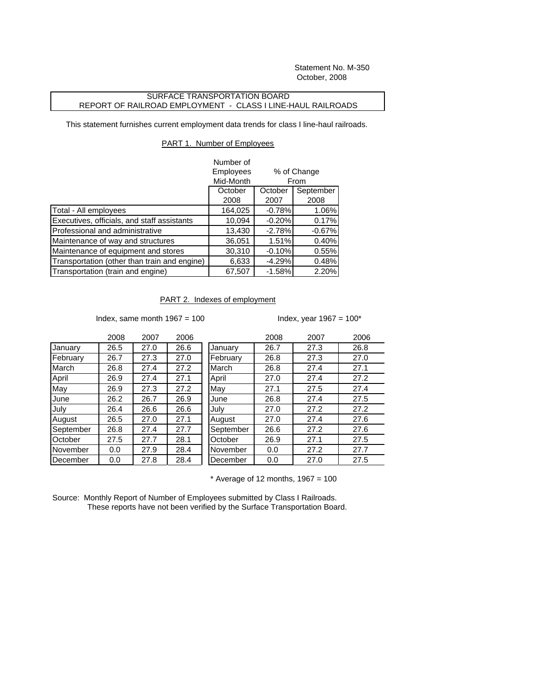Statement No. M-350 October, 2008

## SURFACE TRANSPORTATION BOARD REPORT OF RAILROAD EMPLOYMENT - CLASS I LINE-HAUL RAILROADS

This statement furnishes current employment data trends for class I line-haul railroads.

## PART 1. Number of Employees

|                                              | Number of          |                     |           |
|----------------------------------------------|--------------------|---------------------|-----------|
|                                              | Employees          | % of Change<br>From |           |
|                                              | Mid-Month          |                     |           |
|                                              | October<br>October |                     | September |
|                                              | 2008               | 2007                | 2008      |
| Total - All employees                        | 164,025            | $-0.78%$            | 1.06%     |
| Executives, officials, and staff assistants  | 10,094             | $-0.20%$            | 0.17%     |
| Professional and administrative              | 13,430             | $-2.78%$            | $-0.67%$  |
| Maintenance of way and structures            | 36,051             | 1.51%               | 0.40%     |
| Maintenance of equipment and stores          | 30,310             | $-0.10%$            | 0.55%     |
| Transportation (other than train and engine) | 6,633              | $-4.29%$            | 0.48%     |
| Transportation (train and engine)            | 67,507             | $-1.58%$            | 2.20%     |

## PART 2. Indexes of employment

Index, same month  $1967 = 100$  Index, year  $1967 = 100$ \*

|           | 2008 | 2007 | 2006 |
|-----------|------|------|------|
| January   | 26.5 | 27.0 | 26.6 |
| February  | 26.7 | 27.3 | 27.0 |
| March     | 26.8 | 27.4 | 27.2 |
| April     | 26.9 | 27.4 | 27.1 |
| May       | 26.9 | 27.3 | 27.2 |
| June      | 26.2 | 26.7 | 26.9 |
| July      | 26.4 | 26.6 | 26.6 |
| August    | 26.5 | 27.0 | 27.1 |
| September | 26.8 | 27.4 | 27.7 |
| October   | 27.5 | 27.7 | 28.1 |
| November  | 0.0  | 27.9 | 28.4 |
| December  | 0.0  | 27.8 | 28.4 |

|           | 2008 | 2007 | 2006 |           | 2008 | 2007 | 2006 |
|-----------|------|------|------|-----------|------|------|------|
| January   | 26.5 | 27.0 | 26.6 | January   | 26.7 | 27.3 | 26.8 |
| February  | 26.7 | 27.3 | 27.0 | February  | 26.8 | 27.3 | 27.0 |
| March     | 26.8 | 27.4 | 27.2 | March     | 26.8 | 27.4 | 27.1 |
| April     | 26.9 | 27.4 | 27.1 | April     | 27.0 | 27.4 | 27.2 |
| May       | 26.9 | 27.3 | 27.2 | May       | 27.1 | 27.5 | 27.4 |
| June      | 26.2 | 26.7 | 26.9 | June      | 26.8 | 27.4 | 27.5 |
| July      | 26.4 | 26.6 | 26.6 | July      | 27.0 | 27.2 | 27.2 |
| August    | 26.5 | 27.0 | 27.1 | August    | 27.0 | 27.4 | 27.6 |
| September | 26.8 | 27.4 | 27.7 | September | 26.6 | 27.2 | 27.6 |
| October   | 27.5 | 27.7 | 28.1 | October   | 26.9 | 27.1 | 27.5 |
| November  | 0.0  | 27.9 | 28.4 | November  | 0.0  | 27.2 | 27.7 |
| December  | 0.0  | 27.8 | 28.4 | December  | 0.0  | 27.0 | 27.5 |

 $*$  Average of 12 months, 1967 = 100

Source: Monthly Report of Number of Employees submitted by Class I Railroads. These reports have not been verified by the Surface Transportation Board.